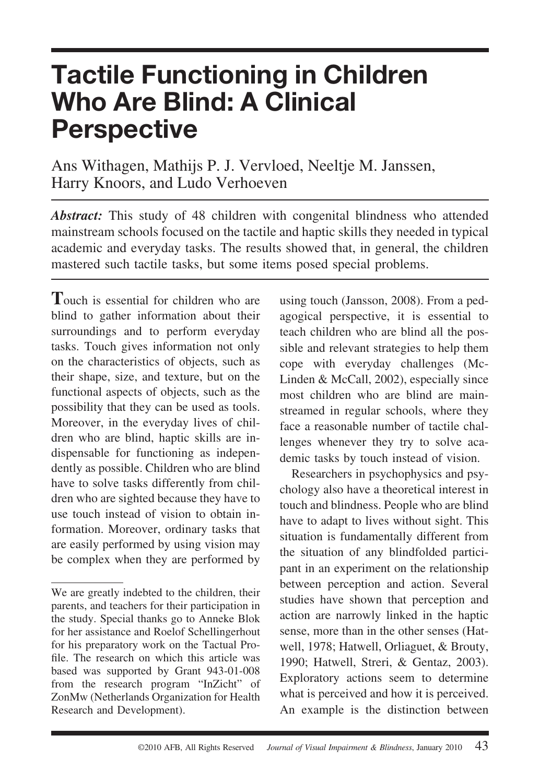# **Tactile Functioning in Children Who Are Blind: A Clinical Perspective**

Ans Withagen, Mathijs P. J. Vervloed, Neeltje M. Janssen, Harry Knoors, and Ludo Verhoeven

*Abstract:* This study of 48 children with congenital blindness who attended mainstream schools focused on the tactile and haptic skills they needed in typical academic and everyday tasks. The results showed that, in general, the children mastered such tactile tasks, but some items posed special problems.

**T**ouch is essential for children who are blind to gather information about their surroundings and to perform everyday tasks. Touch gives information not only on the characteristics of objects, such as their shape, size, and texture, but on the functional aspects of objects, such as the possibility that they can be used as tools. Moreover, in the everyday lives of children who are blind, haptic skills are indispensable for functioning as independently as possible. Children who are blind have to solve tasks differently from children who are sighted because they have to use touch instead of vision to obtain information. Moreover, ordinary tasks that are easily performed by using vision may be complex when they are performed by

using touch (Jansson, 2008). From a pedagogical perspective, it is essential to teach children who are blind all the possible and relevant strategies to help them cope with everyday challenges (Mc-Linden & McCall, 2002), especially since most children who are blind are mainstreamed in regular schools, where they face a reasonable number of tactile challenges whenever they try to solve academic tasks by touch instead of vision.

Researchers in psychophysics and psychology also have a theoretical interest in touch and blindness. People who are blind have to adapt to lives without sight. This situation is fundamentally different from the situation of any blindfolded participant in an experiment on the relationship between perception and action. Several studies have shown that perception and action are narrowly linked in the haptic sense, more than in the other senses (Hatwell, 1978; Hatwell, Orliaguet, & Brouty, 1990; Hatwell, Streri, & Gentaz, 2003). Exploratory actions seem to determine what is perceived and how it is perceived. An example is the distinction between

We are greatly indebted to the children, their parents, and teachers for their participation in the study. Special thanks go to Anneke Blok for her assistance and Roelof Schellingerhout for his preparatory work on the Tactual Profile. The research on which this article was based was supported by Grant 943-01-008 from the research program "InZicht" of ZonMw (Netherlands Organization for Health Research and Development).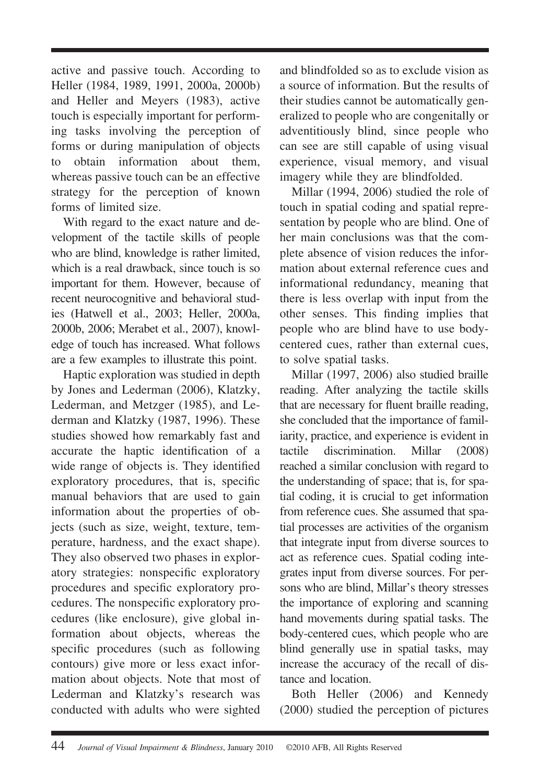active and passive touch. According to Heller (1984, 1989, 1991, 2000a, 2000b) and Heller and Meyers (1983), active touch is especially important for performing tasks involving the perception of forms or during manipulation of objects to obtain information about them, whereas passive touch can be an effective strategy for the perception of known forms of limited size.

With regard to the exact nature and development of the tactile skills of people who are blind, knowledge is rather limited, which is a real drawback, since touch is so important for them. However, because of recent neurocognitive and behavioral studies (Hatwell et al., 2003; Heller, 2000a, 2000b, 2006; Merabet et al., 2007), knowledge of touch has increased. What follows are a few examples to illustrate this point.

Haptic exploration was studied in depth by Jones and Lederman (2006), Klatzky, Lederman, and Metzger (1985), and Lederman and Klatzky (1987, 1996). These studies showed how remarkably fast and accurate the haptic identification of a wide range of objects is. They identified exploratory procedures, that is, specific manual behaviors that are used to gain information about the properties of objects (such as size, weight, texture, temperature, hardness, and the exact shape). They also observed two phases in exploratory strategies: nonspecific exploratory procedures and specific exploratory procedures. The nonspecific exploratory procedures (like enclosure), give global information about objects, whereas the specific procedures (such as following contours) give more or less exact information about objects. Note that most of Lederman and Klatzky's research was conducted with adults who were sighted and blindfolded so as to exclude vision as a source of information. But the results of their studies cannot be automatically generalized to people who are congenitally or adventitiously blind, since people who can see are still capable of using visual experience, visual memory, and visual imagery while they are blindfolded.

Millar (1994, 2006) studied the role of touch in spatial coding and spatial representation by people who are blind. One of her main conclusions was that the complete absence of vision reduces the information about external reference cues and informational redundancy, meaning that there is less overlap with input from the other senses. This finding implies that people who are blind have to use bodycentered cues, rather than external cues, to solve spatial tasks.

Millar (1997, 2006) also studied braille reading. After analyzing the tactile skills that are necessary for fluent braille reading, she concluded that the importance of familiarity, practice, and experience is evident in tactile discrimination. Millar (2008) reached a similar conclusion with regard to the understanding of space; that is, for spatial coding, it is crucial to get information from reference cues. She assumed that spatial processes are activities of the organism that integrate input from diverse sources to act as reference cues. Spatial coding integrates input from diverse sources. For persons who are blind, Millar's theory stresses the importance of exploring and scanning hand movements during spatial tasks. The body-centered cues, which people who are blind generally use in spatial tasks, may increase the accuracy of the recall of distance and location.

Both Heller (2006) and Kennedy (2000) studied the perception of pictures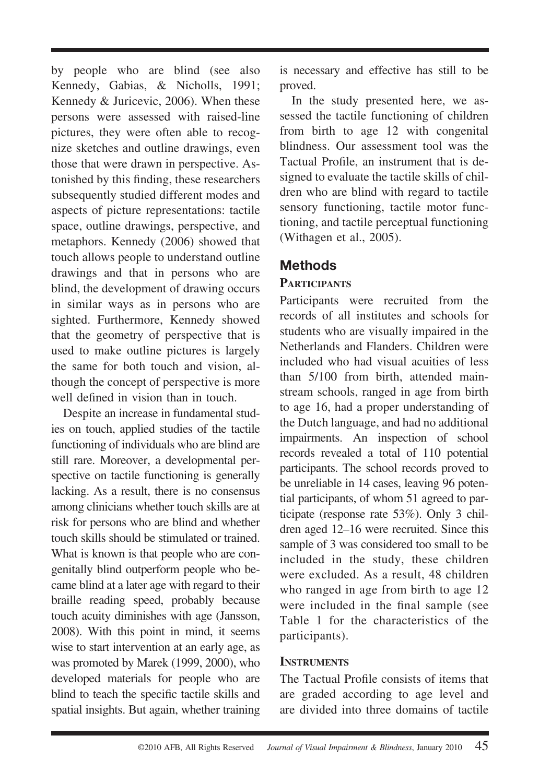by people who are blind (see also Kennedy, Gabias, & Nicholls, 1991; Kennedy & Juricevic, 2006). When these persons were assessed with raised-line pictures, they were often able to recognize sketches and outline drawings, even those that were drawn in perspective. Astonished by this finding, these researchers subsequently studied different modes and aspects of picture representations: tactile space, outline drawings, perspective, and metaphors. Kennedy (2006) showed that touch allows people to understand outline drawings and that in persons who are blind, the development of drawing occurs in similar ways as in persons who are sighted. Furthermore, Kennedy showed that the geometry of perspective that is used to make outline pictures is largely the same for both touch and vision, although the concept of perspective is more well defined in vision than in touch.

Despite an increase in fundamental studies on touch, applied studies of the tactile functioning of individuals who are blind are still rare. Moreover, a developmental perspective on tactile functioning is generally lacking. As a result, there is no consensus among clinicians whether touch skills are at risk for persons who are blind and whether touch skills should be stimulated or trained. What is known is that people who are congenitally blind outperform people who became blind at a later age with regard to their braille reading speed, probably because touch acuity diminishes with age (Jansson, 2008). With this point in mind, it seems wise to start intervention at an early age, as was promoted by Marek (1999, 2000), who developed materials for people who are blind to teach the specific tactile skills and spatial insights. But again, whether training

is necessary and effective has still to be proved.

In the study presented here, we assessed the tactile functioning of children from birth to age 12 with congenital blindness. Our assessment tool was the Tactual Profile, an instrument that is designed to evaluate the tactile skills of children who are blind with regard to tactile sensory functioning, tactile motor functioning, and tactile perceptual functioning (Withagen et al., 2005).

## **Methods**

### **PARTICIPANTS**

Participants were recruited from the records of all institutes and schools for students who are visually impaired in the Netherlands and Flanders. Children were included who had visual acuities of less than 5/100 from birth, attended mainstream schools, ranged in age from birth to age 16, had a proper understanding of the Dutch language, and had no additional impairments. An inspection of school records revealed a total of 110 potential participants. The school records proved to be unreliable in 14 cases, leaving 96 potential participants, of whom 51 agreed to participate (response rate 53%). Only 3 children aged 12–16 were recruited. Since this sample of 3 was considered too small to be included in the study, these children were excluded. As a result, 48 children who ranged in age from birth to age 12 were included in the final sample (see Table 1 for the characteristics of the participants).

#### **INSTRUMENTS**

The Tactual Profile consists of items that are graded according to age level and are divided into three domains of tactile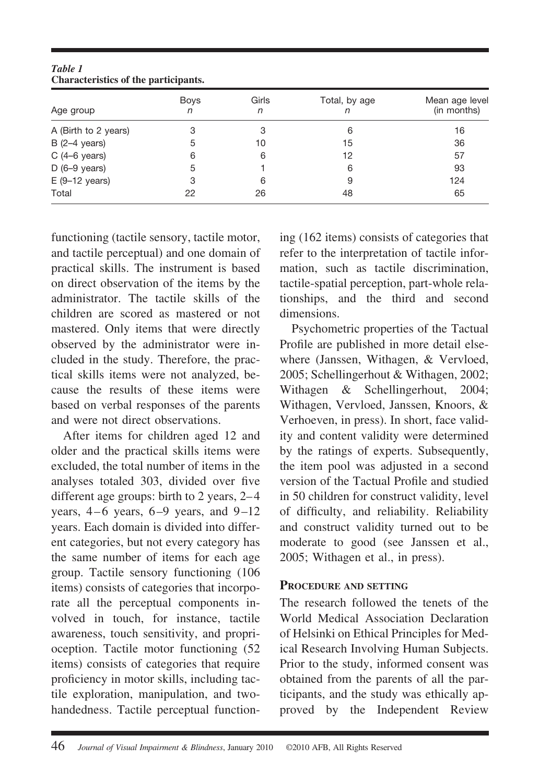| Characteristics of the participants. |                  |            |                    |                               |  |
|--------------------------------------|------------------|------------|--------------------|-------------------------------|--|
| Age group                            | <b>Boys</b><br>n | Girls<br>n | Total, by age<br>n | Mean age level<br>(in months) |  |
| A (Birth to 2 years)                 | 3                | 3          | 6                  | 16                            |  |
| $B(2-4 \text{ years})$               | 5                | 10         | 15                 | 36                            |  |
| $C$ (4-6 years)                      | 6                | 6          | 12                 | 57                            |  |
| $D(6-9 \text{ years})$               | 5                |            | 6                  | 93                            |  |
| $E$ (9-12 years)                     | 3                | 6          | 9                  | 124                           |  |
| Total                                | 22               | 26         | 48                 | 65                            |  |

*Table 1* **Characteristics of the participants.**

functioning (tactile sensory, tactile motor, and tactile perceptual) and one domain of practical skills. The instrument is based on direct observation of the items by the administrator. The tactile skills of the children are scored as mastered or not mastered. Only items that were directly observed by the administrator were included in the study. Therefore, the practical skills items were not analyzed, because the results of these items were based on verbal responses of the parents and were not direct observations.

After items for children aged 12 and older and the practical skills items were excluded, the total number of items in the analyses totaled 303, divided over five different age groups: birth to 2 years, 2– 4 years,  $4-6$  years,  $6-9$  years, and  $9-12$ years. Each domain is divided into different categories, but not every category has the same number of items for each age group. Tactile sensory functioning (106 items) consists of categories that incorporate all the perceptual components involved in touch, for instance, tactile awareness, touch sensitivity, and proprioception. Tactile motor functioning (52 items) consists of categories that require proficiency in motor skills, including tactile exploration, manipulation, and twohandedness. Tactile perceptual functioning (162 items) consists of categories that refer to the interpretation of tactile information, such as tactile discrimination, tactile-spatial perception, part-whole relationships, and the third and second dimensions.

Psychometric properties of the Tactual Profile are published in more detail elsewhere (Janssen, Withagen, & Vervloed, 2005; Schellingerhout & Withagen, 2002; Withagen & Schellingerhout, 2004; Withagen, Vervloed, Janssen, Knoors, & Verhoeven, in press). In short, face validity and content validity were determined by the ratings of experts. Subsequently, the item pool was adjusted in a second version of the Tactual Profile and studied in 50 children for construct validity, level of difficulty, and reliability. Reliability and construct validity turned out to be moderate to good (see Janssen et al., 2005; Withagen et al., in press).

#### **PROCEDURE AND SETTING**

The research followed the tenets of the World Medical Association Declaration of Helsinki on Ethical Principles for Medical Research Involving Human Subjects. Prior to the study, informed consent was obtained from the parents of all the participants, and the study was ethically approved by the Independent Review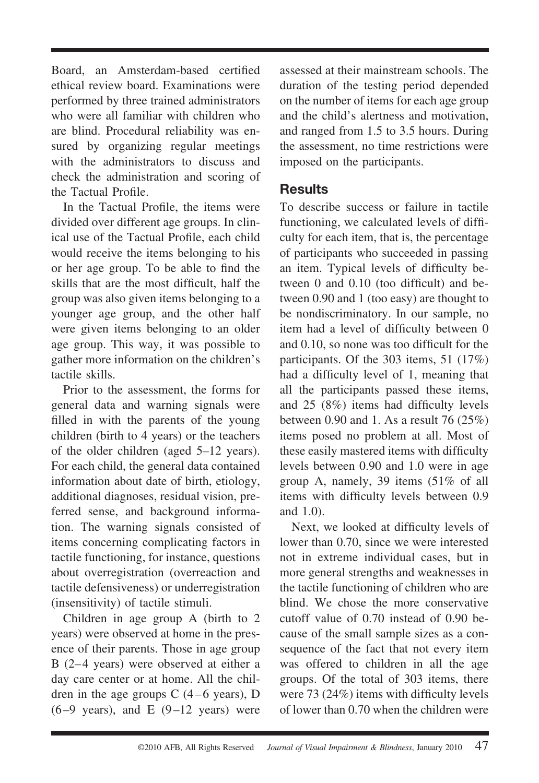Board, an Amsterdam-based certified ethical review board. Examinations were performed by three trained administrators who were all familiar with children who are blind. Procedural reliability was ensured by organizing regular meetings with the administrators to discuss and check the administration and scoring of the Tactual Profile.

In the Tactual Profile, the items were divided over different age groups. In clinical use of the Tactual Profile, each child would receive the items belonging to his or her age group. To be able to find the skills that are the most difficult, half the group was also given items belonging to a younger age group, and the other half were given items belonging to an older age group. This way, it was possible to gather more information on the children's tactile skills.

Prior to the assessment, the forms for general data and warning signals were filled in with the parents of the young children (birth to 4 years) or the teachers of the older children (aged 5–12 years). For each child, the general data contained information about date of birth, etiology, additional diagnoses, residual vision, preferred sense, and background information. The warning signals consisted of items concerning complicating factors in tactile functioning, for instance, questions about overregistration (overreaction and tactile defensiveness) or underregistration (insensitivity) of tactile stimuli.

Children in age group A (birth to 2 years) were observed at home in the presence of their parents. Those in age group B (2–4 years) were observed at either a day care center or at home. All the children in the age groups  $C$  (4–6 years), D  $(6-9 \text{ years})$ , and E  $(9-12 \text{ years})$  were assessed at their mainstream schools. The duration of the testing period depended on the number of items for each age group and the child's alertness and motivation, and ranged from 1.5 to 3.5 hours. During the assessment, no time restrictions were imposed on the participants.

## **Results**

To describe success or failure in tactile functioning, we calculated levels of difficulty for each item, that is, the percentage of participants who succeeded in passing an item. Typical levels of difficulty between 0 and 0.10 (too difficult) and between 0.90 and 1 (too easy) are thought to be nondiscriminatory. In our sample, no item had a level of difficulty between 0 and 0.10, so none was too difficult for the participants. Of the 303 items, 51 (17%) had a difficulty level of 1, meaning that all the participants passed these items, and 25 (8%) items had difficulty levels between  $0.90$  and 1. As a result 76 (25%) items posed no problem at all. Most of these easily mastered items with difficulty levels between 0.90 and 1.0 were in age group A, namely, 39 items (51% of all items with difficulty levels between 0.9 and 1.0).

Next, we looked at difficulty levels of lower than 0.70, since we were interested not in extreme individual cases, but in more general strengths and weaknesses in the tactile functioning of children who are blind. We chose the more conservative cutoff value of 0.70 instead of 0.90 because of the small sample sizes as a consequence of the fact that not every item was offered to children in all the age groups. Of the total of 303 items, there were 73 (24%) items with difficulty levels of lower than 0.70 when the children were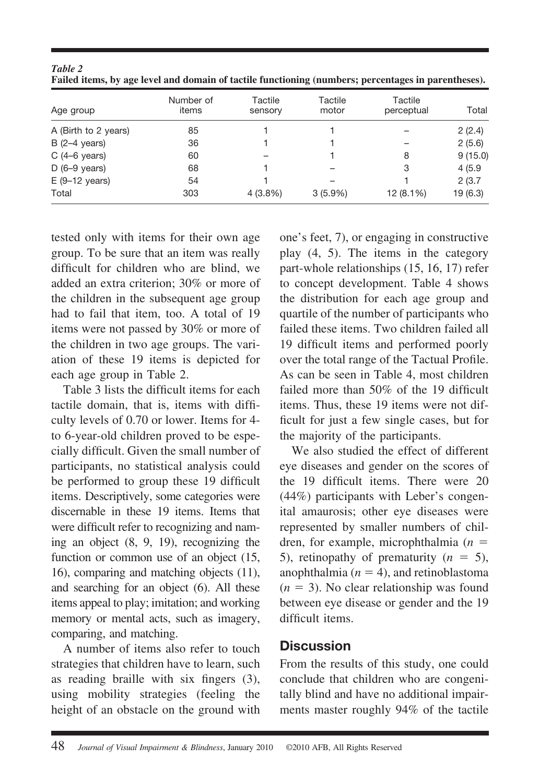| Age group              | Number of<br>items | Tactile<br>sensory | Tactile<br>motor | Tactile<br>perceptual | Total    |
|------------------------|--------------------|--------------------|------------------|-----------------------|----------|
| A (Birth to 2 years)   | 85                 |                    |                  |                       | 2(2.4)   |
| $B(2-4 \text{ years})$ | 36                 |                    |                  |                       | 2(5.6)   |
| $C$ (4–6 years)        | 60                 |                    |                  | 8                     | 9(15.0)  |
| $D(6-9 \text{ years})$ | 68                 |                    |                  | 3                     | 4(5.9)   |
| $E$ (9-12 years)       | 54                 |                    |                  |                       | 2(3.7)   |
| Total                  | 303                | $4(3.8\%)$         | $3(5.9\%)$       | 12 (8.1%)             | 19 (6.3) |

*Table 2* **Failed items, by age level and domain of tactile functioning (numbers; percentages in parentheses).**

tested only with items for their own age group. To be sure that an item was really difficult for children who are blind, we added an extra criterion; 30% or more of the children in the subsequent age group had to fail that item, too. A total of 19 items were not passed by 30% or more of the children in two age groups. The variation of these 19 items is depicted for each age group in Table 2.

Table 3 lists the difficult items for each tactile domain, that is, items with difficulty levels of 0.70 or lower. Items for 4 to 6-year-old children proved to be especially difficult. Given the small number of participants, no statistical analysis could be performed to group these 19 difficult items. Descriptively, some categories were discernable in these 19 items. Items that were difficult refer to recognizing and naming an object (8, 9, 19), recognizing the function or common use of an object (15, 16), comparing and matching objects (11), and searching for an object (6). All these items appeal to play; imitation; and working memory or mental acts, such as imagery, comparing, and matching.

A number of items also refer to touch strategies that children have to learn, such as reading braille with six fingers (3), using mobility strategies (feeling the height of an obstacle on the ground with

one's feet, 7), or engaging in constructive play (4, 5). The items in the category part-whole relationships (15, 16, 17) refer to concept development. Table 4 shows the distribution for each age group and quartile of the number of participants who failed these items. Two children failed all 19 difficult items and performed poorly over the total range of the Tactual Profile. As can be seen in Table 4, most children failed more than 50% of the 19 difficult items. Thus, these 19 items were not difficult for just a few single cases, but for the majority of the participants.

We also studied the effect of different eye diseases and gender on the scores of the 19 difficult items. There were 20 (44%) participants with Leber's congenital amaurosis; other eye diseases were represented by smaller numbers of children, for example, microphthalmia (*n* 5), retinopathy of prematurity  $(n = 5)$ , anophthalmia ( $n = 4$ ), and retinoblastoma  $(n = 3)$ . No clear relationship was found between eye disease or gender and the 19 difficult items.

## **Discussion**

From the results of this study, one could conclude that children who are congenitally blind and have no additional impairments master roughly 94% of the tactile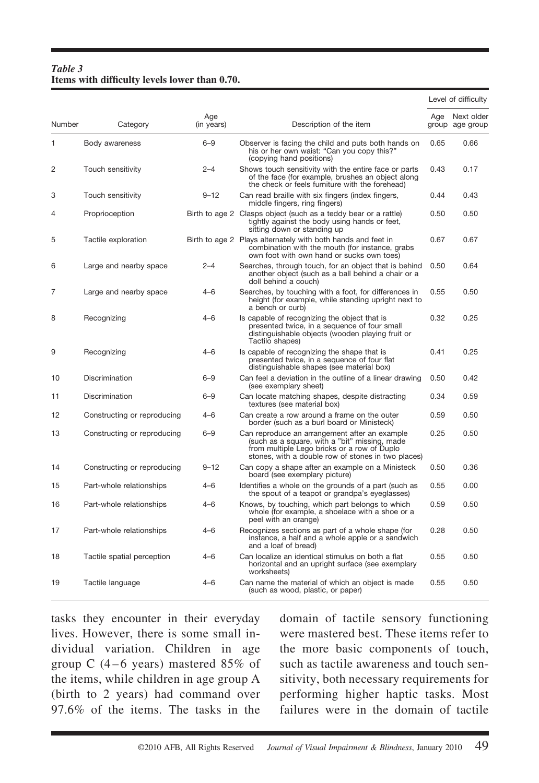#### *Table 3* **Items with difficulty levels lower than 0.70.**

|        |                             |                   |                                                                                                                                                                                                     |      | Level of difficulty           |  |
|--------|-----------------------------|-------------------|-----------------------------------------------------------------------------------------------------------------------------------------------------------------------------------------------------|------|-------------------------------|--|
| Number | Category                    | Age<br>(in years) | Description of the item                                                                                                                                                                             | Age  | Next older<br>group age group |  |
| 1      | Body awareness              | $6 - 9$           | Observer is facing the child and puts both hands on<br>his or her own waist: "Can you copy this?"<br>(copying hand positions)                                                                       | 0.65 | 0.66                          |  |
| 2      | Touch sensitivity           | $2 - 4$           | Shows touch sensitivity with the entire face or parts<br>of the face (for example, brushes an object along<br>the check or feels furniture with the forehead)                                       | 0.43 | 0.17                          |  |
| 3      | Touch sensitivity           | $9 - 12$          | Can read braille with six fingers (index fingers,<br>middle fingers, ring fingers)                                                                                                                  | 0.44 | 0.43                          |  |
| 4      | Proprioception              |                   | Birth to age 2 Clasps object (such as a teddy bear or a rattle)<br>tightly against the body using hands or feet,<br>sitting down or standing up                                                     | 0.50 | 0.50                          |  |
| 5      | Tactile exploration         |                   | Birth to age 2 Plays alternately with both hands and feet in<br>combination with the mouth (for instance, grabs<br>own foot with own hand or sucks own toes)                                        | 0.67 | 0.67                          |  |
| 6      | Large and nearby space      | $2 - 4$           | Searches, through touch, for an object that is behind<br>another object (such as a ball behind a chair or a<br>doll behind a couch)                                                                 | 0.50 | 0.64                          |  |
| 7      | Large and nearby space      | $4 - 6$           | Searches, by touching with a foot, for differences in<br>height (for example, while standing upright next to<br>a bench or curb)                                                                    | 0.55 | 0.50                          |  |
| 8      | Recognizing                 | $4 - 6$           | Is capable of recognizing the object that is<br>presented twice, in a sequence of four small<br>distinguishable objects (wooden playing fruit or<br>Tactilo shapes)                                 | 0.32 | 0.25                          |  |
| 9      | Recognizing                 | $4 - 6$           | Is capable of recognizing the shape that is<br>presented twice, in a sequence of four flat<br>distinguishable shapes (see material box)                                                             | 0.41 | 0.25                          |  |
| 10     | Discrimination              | $6 - 9$           | Can feel a deviation in the outline of a linear drawing<br>(see exemplary sheet)                                                                                                                    | 0.50 | 0.42                          |  |
| 11     | Discrimination              | $6 - 9$           | Can locate matching shapes, despite distracting<br>textures (see material box)                                                                                                                      | 0.34 | 0.59                          |  |
| 12     | Constructing or reproducing | $4 - 6$           | Can create a row around a frame on the outer<br>border (such as a burl board or Ministeck)                                                                                                          | 0.59 | 0.50                          |  |
| 13     | Constructing or reproducing | $6 - 9$           | Can reproduce an arrangement after an example<br>(such as a square, with a "bit" missing, made<br>from multiple Lego bricks or a row of Duplo<br>stones, with a double row of stones in two places) | 0.25 | 0.50                          |  |
| 14     | Constructing or reproducing | $9 - 12$          | Can copy a shape after an example on a Ministeck<br>board (see exemplary picture)                                                                                                                   | 0.50 | 0.36                          |  |
| 15     | Part-whole relationships    | $4 - 6$           | Identifies a whole on the grounds of a part (such as<br>the spout of a teapot or grandpa's eyeglasses)                                                                                              | 0.55 | 0.00                          |  |
| 16     | Part-whole relationships    | $4 - 6$           | Knows, by touching, which part belongs to which<br>whole (for example, a shoelace with a shoe or a<br>peel with an orange)                                                                          | 0.59 | 0.50                          |  |
| 17     | Part-whole relationships    | $4 - 6$           | Recognizes sections as part of a whole shape (for<br>instance, a half and a whole apple or a sandwich<br>and a loaf of bread)                                                                       | 0.28 | 0.50                          |  |
| 18     | Tactile spatial perception  | $4 - 6$           | Can localize an identical stimulus on both a flat<br>horizontal and an upright surface (see exemplary<br>worksheets)                                                                                | 0.55 | 0.50                          |  |
| 19     | Tactile language            | $4 - 6$           | Can name the material of which an object is made<br>(such as wood, plastic, or paper)                                                                                                               | 0.55 | 0.50                          |  |

tasks they encounter in their everyday lives. However, there is some small individual variation. Children in age group C  $(4-6$  years) mastered 85% of the items, while children in age group A (birth to 2 years) had command over 97.6% of the items. The tasks in the domain of tactile sensory functioning were mastered best. These items refer to the more basic components of touch, such as tactile awareness and touch sensitivity, both necessary requirements for performing higher haptic tasks. Most failures were in the domain of tactile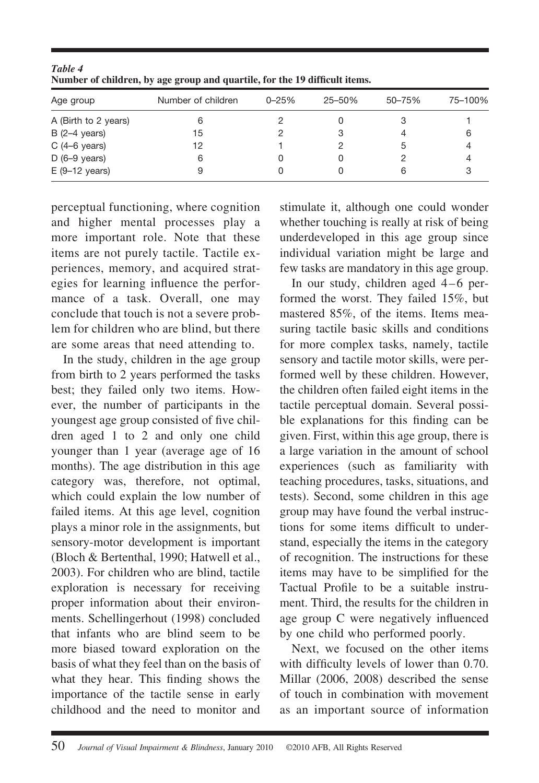| Age group              | Number of children | $0 - 25%$ | $25 - 50%$ | 50-75% | 75–100% |
|------------------------|--------------------|-----------|------------|--------|---------|
| A (Birth to 2 years)   |                    |           |            | З      |         |
| $B(2-4 \text{ years})$ | 15                 |           |            | 4      |         |
| $C$ (4-6 years)        | 12                 |           |            | 5      |         |
| $D(6-9 \text{ years})$ |                    |           |            |        |         |
| $E$ (9-12 years)       |                    |           |            | 6      |         |

*Table 4* **Number of children, by age group and quartile, for the 19 difficult items.**

perceptual functioning, where cognition and higher mental processes play a more important role. Note that these items are not purely tactile. Tactile experiences, memory, and acquired strategies for learning influence the performance of a task. Overall, one may conclude that touch is not a severe problem for children who are blind, but there are some areas that need attending to.

In the study, children in the age group from birth to 2 years performed the tasks best; they failed only two items. However, the number of participants in the youngest age group consisted of five children aged 1 to 2 and only one child younger than 1 year (average age of 16 months). The age distribution in this age category was, therefore, not optimal, which could explain the low number of failed items. At this age level, cognition plays a minor role in the assignments, but sensory-motor development is important (Bloch & Bertenthal, 1990; Hatwell et al., 2003). For children who are blind, tactile exploration is necessary for receiving proper information about their environments. Schellingerhout (1998) concluded that infants who are blind seem to be more biased toward exploration on the basis of what they feel than on the basis of what they hear. This finding shows the importance of the tactile sense in early childhood and the need to monitor and stimulate it, although one could wonder whether touching is really at risk of being underdeveloped in this age group since individual variation might be large and few tasks are mandatory in this age group.

In our study, children aged  $4-6$  performed the worst. They failed 15%, but mastered 85%, of the items. Items measuring tactile basic skills and conditions for more complex tasks, namely, tactile sensory and tactile motor skills, were performed well by these children. However, the children often failed eight items in the tactile perceptual domain. Several possible explanations for this finding can be given. First, within this age group, there is a large variation in the amount of school experiences (such as familiarity with teaching procedures, tasks, situations, and tests). Second, some children in this age group may have found the verbal instructions for some items difficult to understand, especially the items in the category of recognition. The instructions for these items may have to be simplified for the Tactual Profile to be a suitable instrument. Third, the results for the children in age group C were negatively influenced by one child who performed poorly.

Next, we focused on the other items with difficulty levels of lower than 0.70. Millar (2006, 2008) described the sense of touch in combination with movement as an important source of information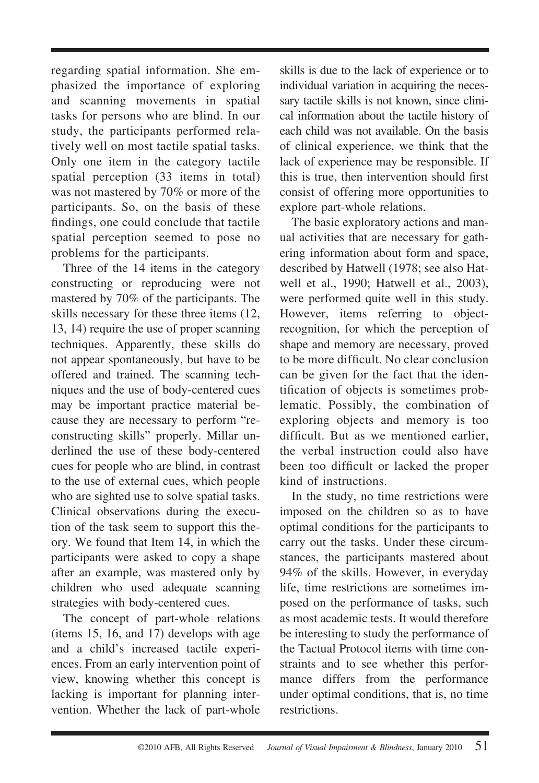regarding spatial information. She emphasized the importance of exploring and scanning movements in spatial tasks for persons who are blind. In our study, the participants performed relatively well on most tactile spatial tasks. Only one item in the category tactile spatial perception (33 items in total) was not mastered by 70% or more of the participants. So, on the basis of these findings, one could conclude that tactile spatial perception seemed to pose no problems for the participants.

Three of the 14 items in the category constructing or reproducing were not mastered by 70% of the participants. The skills necessary for these three items (12, 13, 14) require the use of proper scanning techniques. Apparently, these skills do not appear spontaneously, but have to be offered and trained. The scanning techniques and the use of body-centered cues may be important practice material because they are necessary to perform "reconstructing skills" properly. Millar underlined the use of these body-centered cues for people who are blind, in contrast to the use of external cues, which people who are sighted use to solve spatial tasks. Clinical observations during the execution of the task seem to support this theory. We found that Item 14, in which the participants were asked to copy a shape after an example, was mastered only by children who used adequate scanning strategies with body-centered cues.

The concept of part-whole relations (items 15, 16, and 17) develops with age and a child's increased tactile experiences. From an early intervention point of view, knowing whether this concept is lacking is important for planning intervention. Whether the lack of part-whole skills is due to the lack of experience or to individual variation in acquiring the necessary tactile skills is not known, since clinical information about the tactile history of each child was not available. On the basis of clinical experience, we think that the lack of experience may be responsible. If this is true, then intervention should first consist of offering more opportunities to explore part-whole relations.

The basic exploratory actions and manual activities that are necessary for gathering information about form and space, described by Hatwell (1978; see also Hatwell et al., 1990; Hatwell et al., 2003), were performed quite well in this study. However, items referring to objectrecognition, for which the perception of shape and memory are necessary, proved to be more difficult. No clear conclusion can be given for the fact that the identification of objects is sometimes problematic. Possibly, the combination of exploring objects and memory is too difficult. But as we mentioned earlier, the verbal instruction could also have been too difficult or lacked the proper kind of instructions.

In the study, no time restrictions were imposed on the children so as to have optimal conditions for the participants to carry out the tasks. Under these circumstances, the participants mastered about 94% of the skills. However, in everyday life, time restrictions are sometimes imposed on the performance of tasks, such as most academic tests. It would therefore be interesting to study the performance of the Tactual Protocol items with time constraints and to see whether this performance differs from the performance under optimal conditions, that is, no time restrictions.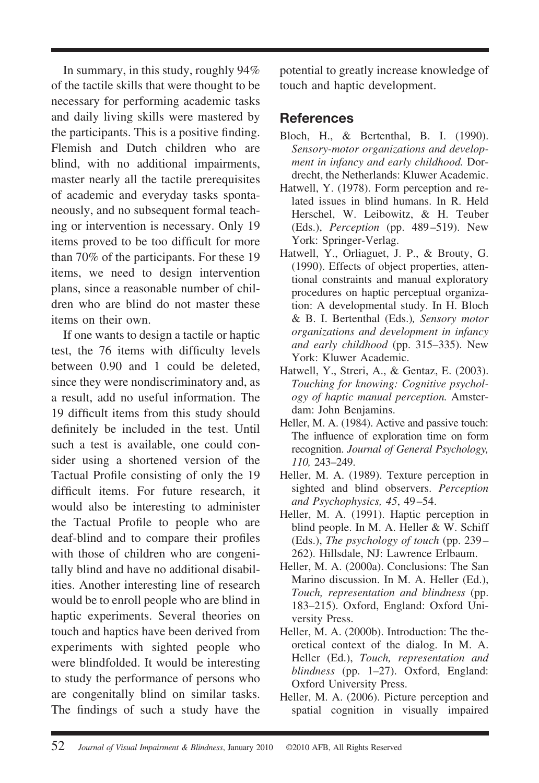In summary, in this study, roughly 94% of the tactile skills that were thought to be necessary for performing academic tasks and daily living skills were mastered by the participants. This is a positive finding. Flemish and Dutch children who are blind, with no additional impairments, master nearly all the tactile prerequisites of academic and everyday tasks spontaneously, and no subsequent formal teaching or intervention is necessary. Only 19 items proved to be too difficult for more than 70% of the participants. For these 19 items, we need to design intervention plans, since a reasonable number of children who are blind do not master these items on their own.

If one wants to design a tactile or haptic test, the 76 items with difficulty levels between 0.90 and 1 could be deleted, since they were nondiscriminatory and, as a result, add no useful information. The 19 difficult items from this study should definitely be included in the test. Until such a test is available, one could consider using a shortened version of the Tactual Profile consisting of only the 19 difficult items. For future research, it would also be interesting to administer the Tactual Profile to people who are deaf-blind and to compare their profiles with those of children who are congenitally blind and have no additional disabilities. Another interesting line of research would be to enroll people who are blind in haptic experiments. Several theories on touch and haptics have been derived from experiments with sighted people who were blindfolded. It would be interesting to study the performance of persons who are congenitally blind on similar tasks. The findings of such a study have the potential to greatly increase knowledge of touch and haptic development.

## **References**

- Bloch, H., & Bertenthal, B. I. (1990). *Sensory-motor organizations and development in infancy and early childhood.* Dordrecht, the Netherlands: Kluwer Academic.
- Hatwell, Y. (1978). Form perception and related issues in blind humans. In R. Held Herschel, W. Leibowitz, & H. Teuber (Eds.), *Perception* (pp. 489 –519). New York: Springer-Verlag.
- Hatwell, Y., Orliaguet, J. P., & Brouty, G. (1990). Effects of object properties, attentional constraints and manual exploratory procedures on haptic perceptual organization: A developmental study. In H. Bloch & B. I. Bertenthal (Eds.)*, Sensory motor organizations and development in infancy and early childhood* (pp. 315–335). New York: Kluwer Academic.
- Hatwell, Y., Streri, A., & Gentaz, E. (2003). *Touching for knowing: Cognitive psychology of haptic manual perception.* Amsterdam: John Benjamins.
- Heller, M. A. (1984). Active and passive touch: The influence of exploration time on form recognition. *Journal of General Psychology, 110,* 243–249.
- Heller, M. A. (1989). Texture perception in sighted and blind observers. *Perception and Psychophysics, 45*, 49 –54.
- Heller, M. A. (1991). Haptic perception in blind people. In M. A. Heller & W. Schiff (Eds.), *The psychology of touch* (pp. 239 – 262). Hillsdale, NJ: Lawrence Erlbaum.
- Heller, M. A. (2000a). Conclusions: The San Marino discussion. In M. A. Heller (Ed.), *Touch, representation and blindness* (pp. 183–215). Oxford, England: Oxford University Press.
- Heller, M. A. (2000b). Introduction: The theoretical context of the dialog. In M. A. Heller (Ed.), *Touch, representation and blindness* (pp. 1–27). Oxford, England: Oxford University Press.
- Heller, M. A. (2006). Picture perception and spatial cognition in visually impaired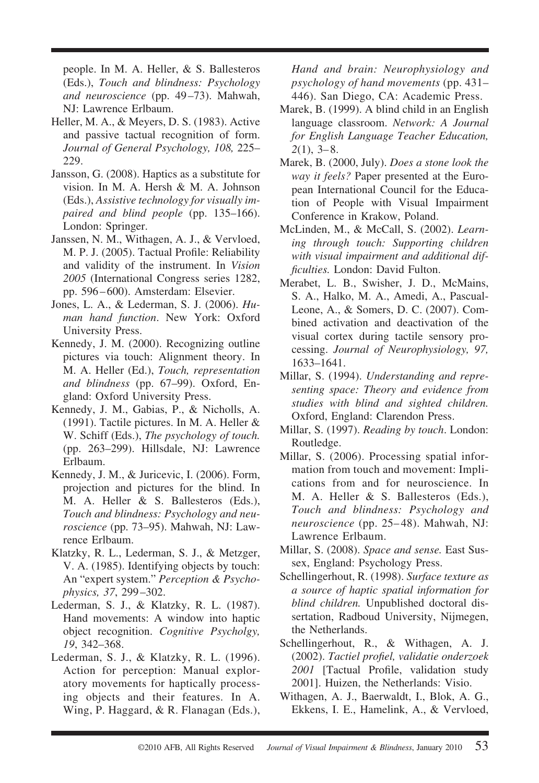people. In M. A. Heller, & S. Ballesteros (Eds.), *Touch and blindness: Psychology and neuroscience* (pp. 49 –73). Mahwah, NJ: Lawrence Erlbaum.

- Heller, M. A., & Meyers, D. S. (1983). Active and passive tactual recognition of form. *Journal of General Psychology, 108,* 225– 229.
- Jansson, G. (2008). Haptics as a substitute for vision. In M. A. Hersh & M. A. Johnson (Eds.), *Assistive technology for visually impaired and blind people* (pp. 135–166). London: Springer.
- Janssen, N. M., Withagen, A. J., & Vervloed, M. P. J. (2005). Tactual Profile: Reliability and validity of the instrument. In *Vision 2005* (International Congress series 1282, pp. 596 – 600). Amsterdam: Elsevier.
- Jones, L. A., & Lederman, S. J. (2006). *Human hand function*. New York: Oxford University Press.
- Kennedy, J. M. (2000). Recognizing outline pictures via touch: Alignment theory. In M. A. Heller (Ed.), *Touch, representation and blindness* (pp. 67–99). Oxford, England: Oxford University Press.
- Kennedy, J. M., Gabias, P., & Nicholls, A. (1991). Tactile pictures. In M. A. Heller & W. Schiff (Eds.), *The psychology of touch.* (pp. 263–299). Hillsdale, NJ: Lawrence Erlbaum.
- Kennedy, J. M., & Juricevic, I. (2006). Form, projection and pictures for the blind. In M. A. Heller & S. Ballesteros (Eds.), *Touch and blindness: Psychology and neuroscience* (pp. 73–95). Mahwah, NJ: Lawrence Erlbaum.
- Klatzky, R. L., Lederman, S. J., & Metzger, V. A. (1985). Identifying objects by touch: An "expert system." *Perception & Psychophysics, 37*, 299 –302.
- Lederman, S. J., & Klatzky, R. L. (1987). Hand movements: A window into haptic object recognition. *Cognitive Psycholgy, 19*, 342–368.
- Lederman, S. J., & Klatzky, R. L. (1996). Action for perception: Manual exploratory movements for haptically processing objects and their features. In A. Wing, P. Haggard, & R. Flanagan (Eds.),

*Hand and brain: Neurophysiology and psychology of hand movements* (pp. 431– 446). San Diego, CA: Academic Press.

- Marek, B. (1999). A blind child in an English language classroom. *Network: A Journal for English Language Teacher Education,*  $2(1)$ ,  $3-8$ .
- Marek, B. (2000, July). *Does a stone look the way it feels?* Paper presented at the European International Council for the Education of People with Visual Impairment Conference in Krakow, Poland.
- McLinden, M., & McCall, S. (2002). *Learning through touch: Supporting children with visual impairment and additional difficulties.* London: David Fulton.
- Merabet, L. B., Swisher, J. D., McMains, S. A., Halko, M. A., Amedi, A., Pascual-Leone, A., & Somers, D. C. (2007). Combined activation and deactivation of the visual cortex during tactile sensory processing. *Journal of Neurophysiology, 97,* 1633–1641.
- Millar, S. (1994). *Understanding and representing space: Theory and evidence from studies with blind and sighted children.* Oxford, England: Clarendon Press.
- Millar, S. (1997). *Reading by touch*. London: Routledge.
- Millar, S. (2006). Processing spatial information from touch and movement: Implications from and for neuroscience. In M. A. Heller & S. Ballesteros (Eds.), *Touch and blindness: Psychology and neuroscience* (pp. 25–48). Mahwah, NJ: Lawrence Erlbaum.
- Millar, S. (2008). *Space and sense.* East Sussex, England: Psychology Press.
- Schellingerhout, R. (1998). *Surface texture as a source of haptic spatial information for blind children.* Unpublished doctoral dissertation, Radboud University, Nijmegen, the Netherlands.
- Schellingerhout, R., & Withagen, A. J. (2002). *Tactiel profiel, validatie onderzoek 2001* [Tactual Profile, validation study 2001]. Huizen, the Netherlands: Visio.
- Withagen, A. J., Baerwaldt, I., Blok, A. G., Ekkens, I. E., Hamelink, A., & Vervloed,